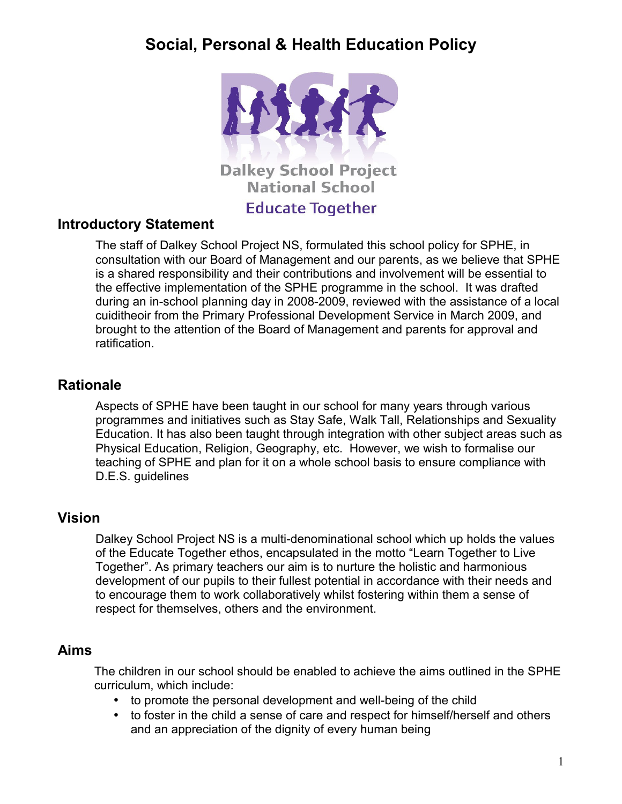

### **Introductory Statement**

The staff of Dalkey School Project NS, formulated this school policy for SPHE, in consultation with our Board of Management and our parents, as we believe that SPHE is a shared responsibility and their contributions and involvement will be essential to the effective implementation of the SPHE programme in the school. It was drafted during an in-school planning day in 2008-2009, reviewed with the assistance of a local cuiditheoir from the Primary Professional Development Service in March 2009, and brought to the attention of the Board of Management and parents for approval and ratification.

### **Rationale**

Aspects of SPHE have been taught in our school for many years through various programmes and initiatives such as Stay Safe, Walk Tall, Relationships and Sexuality Education. It has also been taught through integration with other subject areas such as Physical Education, Religion, Geography, etc. However, we wish to formalise our teaching of SPHE and plan for it on a whole school basis to ensure compliance with D.E.S. guidelines

### **Vision**

Dalkey School Project NS is a multi-denominational school which up holds the values of the Educate Together ethos, encapsulated in the motto "Learn Together to Live Together". As primary teachers our aim is to nurture the holistic and harmonious development of our pupils to their fullest potential in accordance with their needs and to encourage them to work collaboratively whilst fostering within them a sense of respect for themselves, others and the environment.

### **Aims**

The children in our school should be enabled to achieve the aims outlined in the SPHE curriculum, which include:

- to promote the personal development and well-being of the child
- to foster in the child a sense of care and respect for himself/herself and others and an appreciation of the dignity of every human being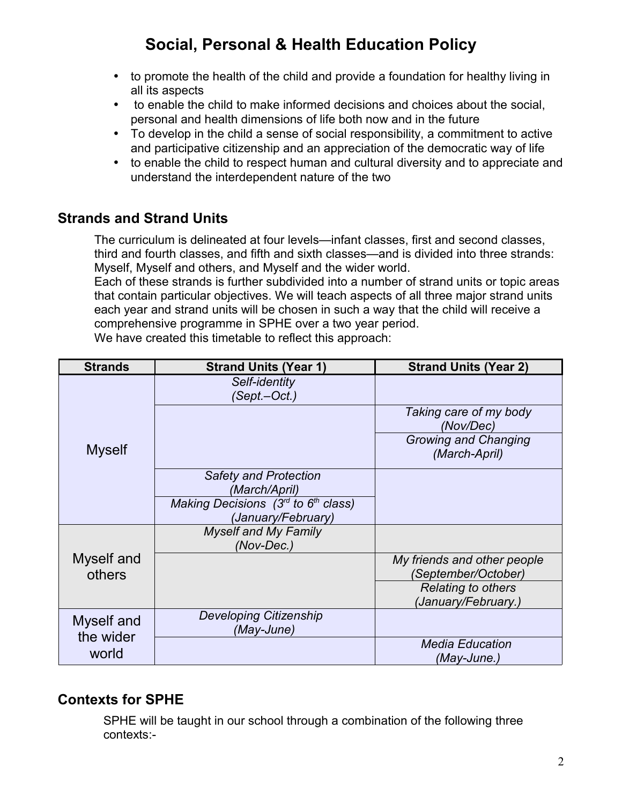- to promote the health of the child and provide a foundation for healthy living in all its aspects
- to enable the child to make informed decisions and choices about the social, personal and health dimensions of life both now and in the future
- To develop in the child a sense of social responsibility, a commitment to active and participative citizenship and an appreciation of the democratic way of life
- to enable the child to respect human and cultural diversity and to appreciate and understand the interdependent nature of the two

### **Strands and Strand Units**

The curriculum is delineated at four levels—infant classes, first and second classes, third and fourth classes, and fifth and sixth classes—and is divided into three strands: Myself, Myself and others, and Myself and the wider world.

Each of these strands is further subdivided into a number of strand units or topic areas that contain particular objectives. We will teach aspects of all three major strand units each year and strand units will be chosen in such a way that the child will receive a comprehensive programme in SPHE over a two year period.

| <b>Strands</b>                   | <b>Strand Units (Year 1)</b>                                  | <b>Strand Units (Year 2)</b>                 |
|----------------------------------|---------------------------------------------------------------|----------------------------------------------|
| <b>Myself</b>                    | Self-identity<br>(Sept.-Oct.)                                 |                                              |
|                                  |                                                               | Taking care of my body<br>(Nov/Dec)          |
|                                  |                                                               | <b>Growing and Changing</b><br>(March-April) |
|                                  | <b>Safety and Protection</b><br>(March/April)                 |                                              |
|                                  | Making Decisions $(3rd$ to $6th$ class)<br>(January/February) |                                              |
| Myself and<br>others             | <b>Myself and My Family</b><br>(Nov-Dec.)                     |                                              |
|                                  |                                                               | My friends and other people                  |
|                                  |                                                               | (September/October)                          |
|                                  |                                                               | <b>Relating to others</b>                    |
|                                  |                                                               | (January/February.)                          |
| Myself and<br>the wider<br>world | Developing Citizenship<br>(May-June)                          |                                              |
|                                  |                                                               | <b>Media Education</b>                       |
|                                  |                                                               | (May-June.)                                  |

We have created this timetable to reflect this approach:

### **Contexts for SPHE**

SPHE will be taught in our school through a combination of the following three contexts:-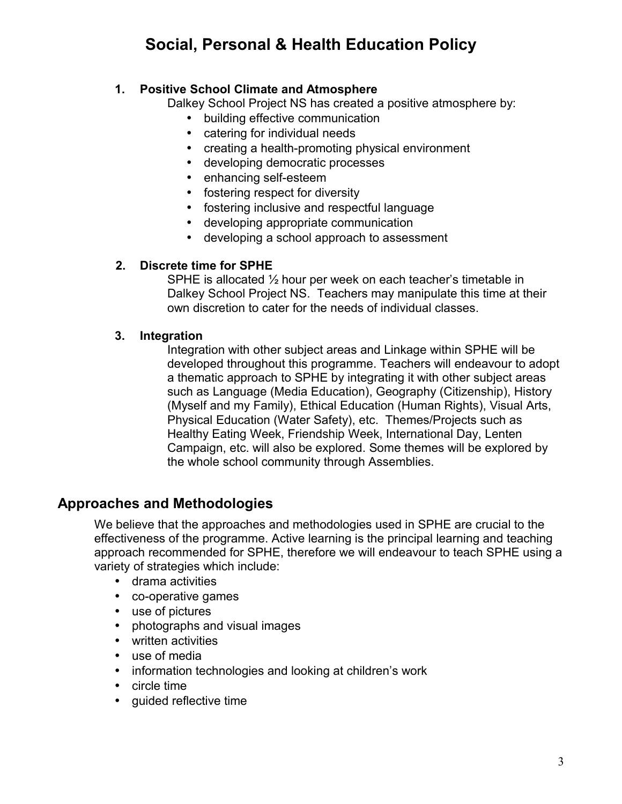#### **1. Positive School Climate and Atmosphere**

Dalkey School Project NS has created a positive atmosphere by:

- building effective communication
- catering for individual needs
- creating a health-promoting physical environment
- developing democratic processes
- enhancing self-esteem
- fostering respect for diversity
- fostering inclusive and respectful language
- developing appropriate communication
- developing a school approach to assessment

#### **2. Discrete time for SPHE**

SPHE is allocated ½ hour per week on each teacher's timetable in Dalkey School Project NS. Teachers may manipulate this time at their own discretion to cater for the needs of individual classes.

#### **3. Integration**

Integration with other subject areas and Linkage within SPHE will be developed throughout this programme. Teachers will endeavour to adopt a thematic approach to SPHE by integrating it with other subject areas such as Language (Media Education), Geography (Citizenship), History (Myself and my Family), Ethical Education (Human Rights), Visual Arts, Physical Education (Water Safety), etc. Themes/Projects such as Healthy Eating Week, Friendship Week, International Day, Lenten Campaign, etc. will also be explored. Some themes will be explored by the whole school community through Assemblies.

### **Approaches and Methodologies**

We believe that the approaches and methodologies used in SPHE are crucial to the effectiveness of the programme. Active learning is the principal learning and teaching approach recommended for SPHE, therefore we will endeavour to teach SPHE using a variety of strategies which include:

- drama activities
- co-operative games
- use of pictures
- photographs and visual images
- written activities
- use of media
- information technologies and looking at children's work
- circle time
- guided reflective time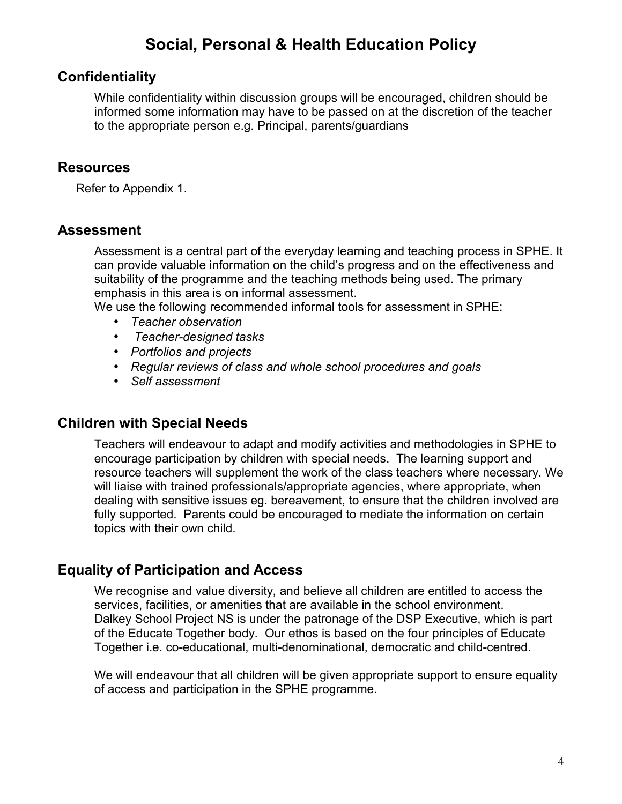### **Confidentiality**

While confidentiality within discussion groups will be encouraged, children should be informed some information may have to be passed on at the discretion of the teacher to the appropriate person e.g. Principal, parents/guardians

### **Resources**

Refer to Appendix 1.

### **Assessment**

Assessment is a central part of the everyday learning and teaching process in SPHE. It can provide valuable information on the child's progress and on the effectiveness and suitability of the programme and the teaching methods being used. The primary emphasis in this area is on informal assessment.

We use the following recommended informal tools for assessment in SPHE:

- *Teacher observation*
- • *Teacher-designed tasks*
- *Portfolios and projects*
- *Regular reviews of class and whole school procedures and goals*
- *Self assessment*

### **Children with Special Needs**

Teachers will endeavour to adapt and modify activities and methodologies in SPHE to encourage participation by children with special needs. The learning support and resource teachers will supplement the work of the class teachers where necessary. We will liaise with trained professionals/appropriate agencies, where appropriate, when dealing with sensitive issues eg. bereavement, to ensure that the children involved are fully supported. Parents could be encouraged to mediate the information on certain topics with their own child.

### **Equality of Participation and Access**

We recognise and value diversity, and believe all children are entitled to access the services, facilities, or amenities that are available in the school environment. Dalkey School Project NS is under the patronage of the DSP Executive, which is part of the Educate Together body. Our ethos is based on the four principles of Educate Together i.e. co-educational, multi-denominational, democratic and child-centred.

We will endeavour that all children will be given appropriate support to ensure equality of access and participation in the SPHE programme.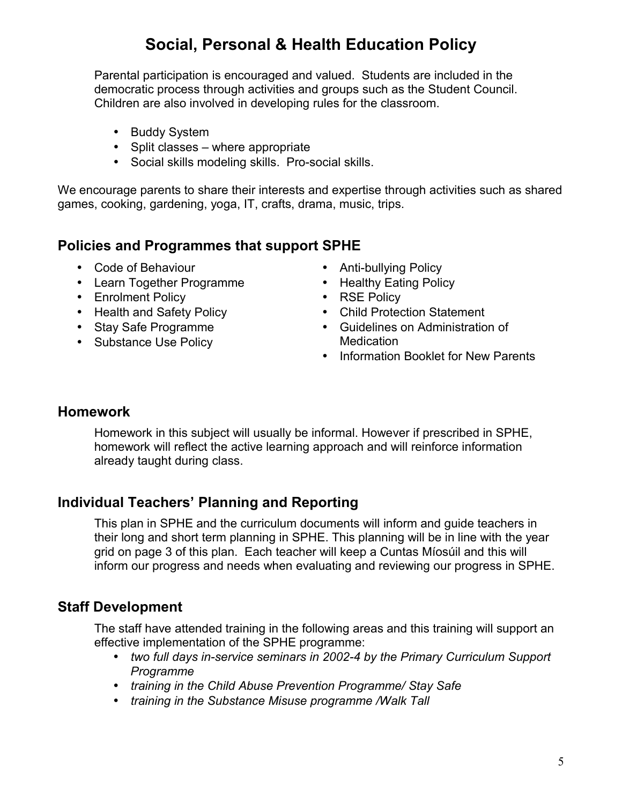Parental participation is encouraged and valued. Students are included in the democratic process through activities and groups such as the Student Council. Children are also involved in developing rules for the classroom.

- Buddy System
- Split classes where appropriate
- Social skills modeling skills. Pro-social skills.

We encourage parents to share their interests and expertise through activities such as shared games, cooking, gardening, yoga, IT, crafts, drama, music, trips.

### **Policies and Programmes that support SPHE**

- Code of Behaviour
- Learn Together Programme
- Enrolment Policy
- Health and Safety Policy
- Stay Safe Programme
- Substance Use Policy
- Anti-bullying Policy
- Healthy Eating Policy
- RSE Policy
- Child Protection Statement
- Guidelines on Administration of **Medication**
- Information Booklet for New Parents

### **Homework**

Homework in this subject will usually be informal. However if prescribed in SPHE, homework will reflect the active learning approach and will reinforce information already taught during class.

### **Individual Teachers' Planning and Reporting**

This plan in SPHE and the curriculum documents will inform and guide teachers in their long and short term planning in SPHE. This planning will be in line with the year grid on page 3 of this plan. Each teacher will keep a Cuntas Míosúil and this will inform our progress and needs when evaluating and reviewing our progress in SPHE.

### **Staff Development**

The staff have attended training in the following areas and this training will support an effective implementation of the SPHE programme:

- *two full days in-service seminars in 2002-4 by the Primary Curriculum Support Programme*
- *training in the Child Abuse Prevention Programme/ Stay Safe*
- *training in the Substance Misuse programme /Walk Tall*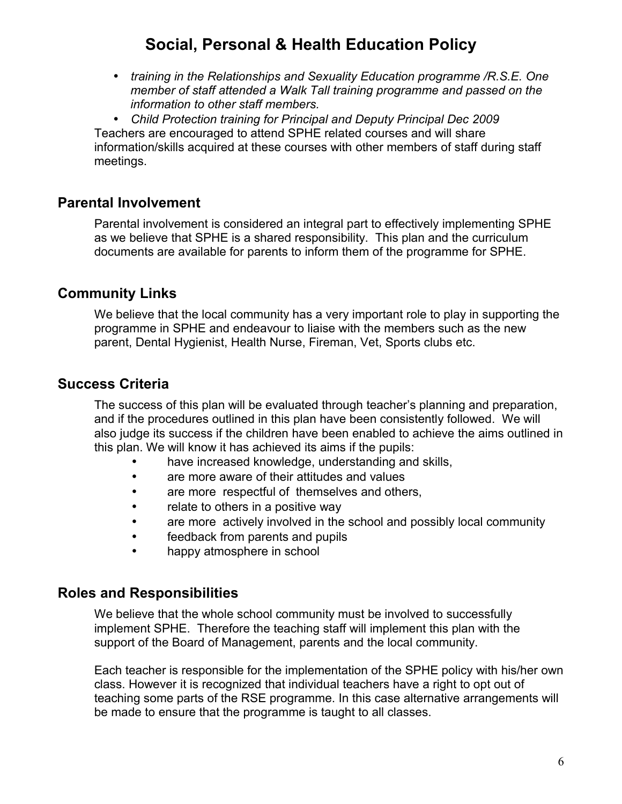• *training in the Relationships and Sexuality Education programme /R.S.E. One member of staff attended a Walk Tall training programme and passed on the information to other staff members.*

• *Child Protection training for Principal and Deputy Principal Dec 2009* Teachers are encouraged to attend SPHE related courses and will share information/skills acquired at these courses with other members of staff during staff meetings.

### **Parental Involvement**

Parental involvement is considered an integral part to effectively implementing SPHE as we believe that SPHE is a shared responsibility. This plan and the curriculum documents are available for parents to inform them of the programme for SPHE.

### **Community Links**

We believe that the local community has a very important role to play in supporting the programme in SPHE and endeavour to liaise with the members such as the new parent, Dental Hygienist, Health Nurse, Fireman, Vet, Sports clubs etc.

### **Success Criteria**

The success of this plan will be evaluated through teacher's planning and preparation, and if the procedures outlined in this plan have been consistently followed. We will also judge its success if the children have been enabled to achieve the aims outlined in this plan. We will know it has achieved its aims if the pupils:

- have increased knowledge, understanding and skills,
- are more aware of their attitudes and values
- are more respectful of themselves and others,
- relate to others in a positive way
- are more actively involved in the school and possibly local community
- feedback from parents and pupils
- happy atmosphere in school

### **Roles and Responsibilities**

We believe that the whole school community must be involved to successfully implement SPHE. Therefore the teaching staff will implement this plan with the support of the Board of Management, parents and the local community.

Each teacher is responsible for the implementation of the SPHE policy with his/her own class. However it is recognized that individual teachers have a right to opt out of teaching some parts of the RSE programme. In this case alternative arrangements will be made to ensure that the programme is taught to all classes.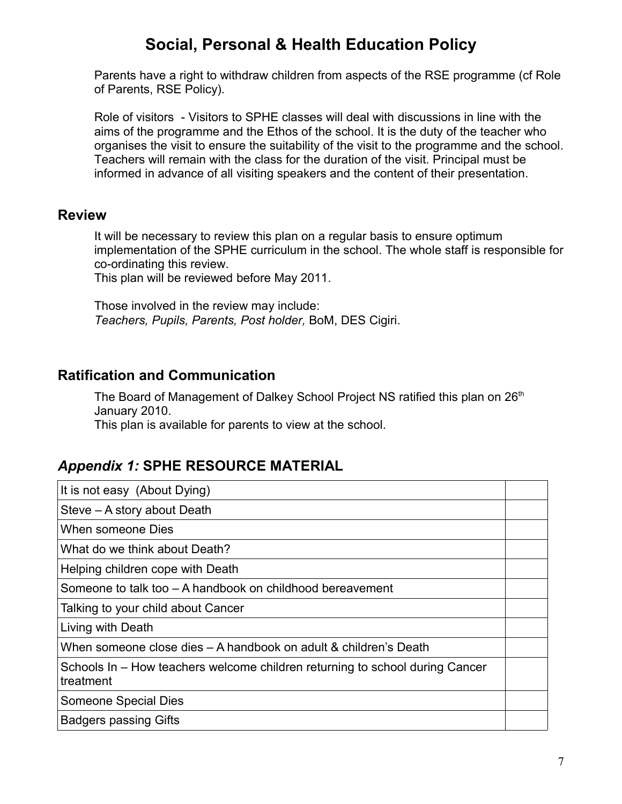Parents have a right to withdraw children from aspects of the RSE programme (cf Role of Parents, RSE Policy).

Role of visitors - Visitors to SPHE classes will deal with discussions in line with the aims of the programme and the Ethos of the school. It is the duty of the teacher who organises the visit to ensure the suitability of the visit to the programme and the school. Teachers will remain with the class for the duration of the visit. Principal must be informed in advance of all visiting speakers and the content of their presentation.

#### **Review**

It will be necessary to review this plan on a regular basis to ensure optimum implementation of the SPHE curriculum in the school. The whole staff is responsible for co-ordinating this review.

This plan will be reviewed before May 2011.

Those involved in the review may include: *Teachers, Pupils, Parents, Post holder,* BoM, DES Cigiri.

### **Ratification and Communication**

The Board of Management of Dalkey School Project NS ratified this plan on 26<sup>th</sup> January 2010.

This plan is available for parents to view at the school.

### *Appendix 1:* **SPHE RESOURCE MATERIAL**

| It is not easy (About Dying)                                                              |  |
|-------------------------------------------------------------------------------------------|--|
| Steve – A story about Death                                                               |  |
| When someone Dies                                                                         |  |
| What do we think about Death?                                                             |  |
| Helping children cope with Death                                                          |  |
| Someone to talk too – A handbook on childhood bereavement                                 |  |
| Talking to your child about Cancer                                                        |  |
| Living with Death                                                                         |  |
| When someone close dies – A handbook on adult & children's Death                          |  |
| Schools In – How teachers welcome children returning to school during Cancer<br>treatment |  |
| <b>Someone Special Dies</b>                                                               |  |
| <b>Badgers passing Gifts</b>                                                              |  |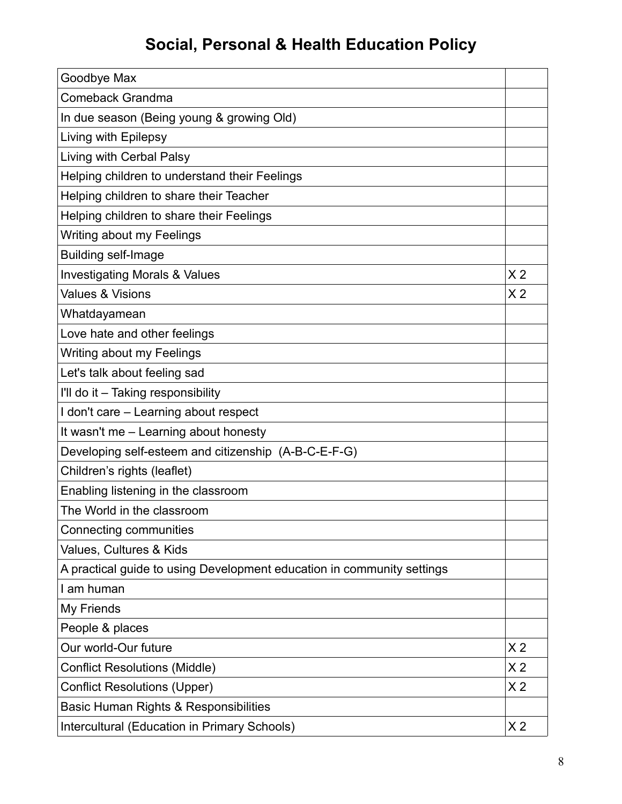| Goodbye Max                                                            |                |  |
|------------------------------------------------------------------------|----------------|--|
| Comeback Grandma                                                       |                |  |
| In due season (Being young & growing Old)                              |                |  |
| Living with Epilepsy                                                   |                |  |
| Living with Cerbal Palsy                                               |                |  |
| Helping children to understand their Feelings                          |                |  |
| Helping children to share their Teacher                                |                |  |
| Helping children to share their Feelings                               |                |  |
| Writing about my Feelings                                              |                |  |
| <b>Building self-Image</b>                                             |                |  |
| <b>Investigating Morals &amp; Values</b>                               | X <sub>2</sub> |  |
| <b>Values &amp; Visions</b>                                            | X <sub>2</sub> |  |
| Whatdayamean                                                           |                |  |
| Love hate and other feelings                                           |                |  |
| Writing about my Feelings                                              |                |  |
| Let's talk about feeling sad                                           |                |  |
| I'll do it - Taking responsibility                                     |                |  |
| I don't care - Learning about respect                                  |                |  |
| It wasn't me - Learning about honesty                                  |                |  |
| Developing self-esteem and citizenship (A-B-C-E-F-G)                   |                |  |
| Children's rights (leaflet)                                            |                |  |
| Enabling listening in the classroom                                    |                |  |
| The World in the classroom                                             |                |  |
| Connecting communities                                                 |                |  |
| Values, Cultures & Kids                                                |                |  |
| A practical guide to using Development education in community settings |                |  |
| I am human                                                             |                |  |
| My Friends                                                             |                |  |
| People & places                                                        |                |  |
| Our world-Our future                                                   | X <sub>2</sub> |  |
| <b>Conflict Resolutions (Middle)</b>                                   |                |  |
| <b>Conflict Resolutions (Upper)</b>                                    |                |  |
| Basic Human Rights & Responsibilities                                  |                |  |
| Intercultural (Education in Primary Schools)                           |                |  |